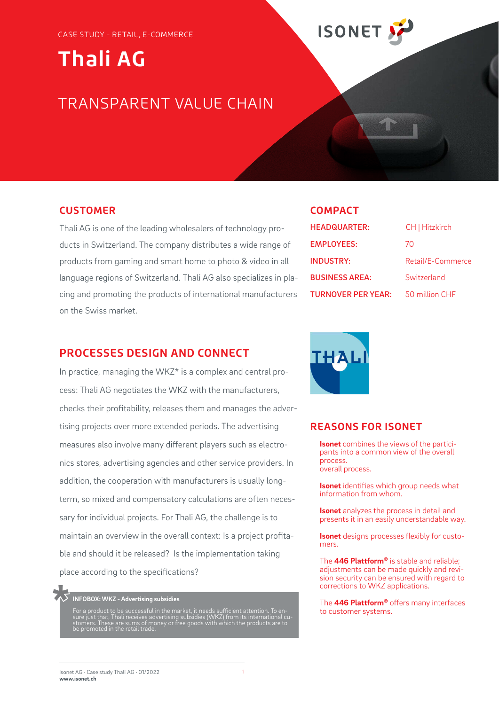# **Thali AG**

### TRANSPARENT VALUE CHAIN

#### **CUSTOMER**

Thali AG is one of the leading wholesalers of technology products in Switzerland. The company distributes a wide range of products from gaming and smart home to photo & video in all language regions of Switzerland. Thali AG also specializes in placing and promoting the products of international manufacturers on the Swiss market.

#### **PROCESSES DESIGN AND CONNECT**

In practice, managing the WKZ\* is a complex and central process: Thali AG negotiates the WKZ with the manufacturers, checks their profitability, releases them and manages the advertising projects over more extended periods. The advertising measures also involve many different players such as electronics stores, advertising agencies and other service providers. In addition, the cooperation with manufacturers is usually longterm, so mixed and compensatory calculations are often necessary for individual projects. For Thali AG, the challenge is to maintain an overview in the overall context: Is a project profitable and should it be released? Is the implementation taking place according to the specifications?

## **INFOBOX: WKZ - Advertising subsidies \***

For a product to be successful in the market, it needs sufficient attention. To en-<br>sure just that, Thali receives advertising subsidies (WKZ) from its international cu-<br>stomers. These are sums of money or free goods with be promoted in the retail trade.

|    | ı |  |   |  |
|----|---|--|---|--|
| ۰. |   |  | ٠ |  |
|    |   |  |   |  |

**ISONET** 

| <b>HEADQUARTER:</b>       | CH   Hitzkirch    |
|---------------------------|-------------------|
| <b>EMPLOYEES:</b>         | 70                |
| <b>INDUSTRY:</b>          | Retail/E-Commerce |
| <b>BUSINESS AREA:</b>     | Switzerland       |
| <b>TURNOVER PER YEAR:</b> | 50 million CHF    |



#### **REASONS FOR ISONET**

**Isonet** combines the views of the participants into a common view of the overall process. overall process.

**Isonet** identifies which group needs what information from whom.

**Isonet** analyzes the process in detail and presents it in an easily understandable way.

**Isonet** designs processes flexibly for customers.

The **446 Plattform®** is stable and reliable; adjustments can be made quickly and revision security can be ensured with regard to corrections to WKZ applications.

The **446 Plattform®** offers many interfaces to customer systems.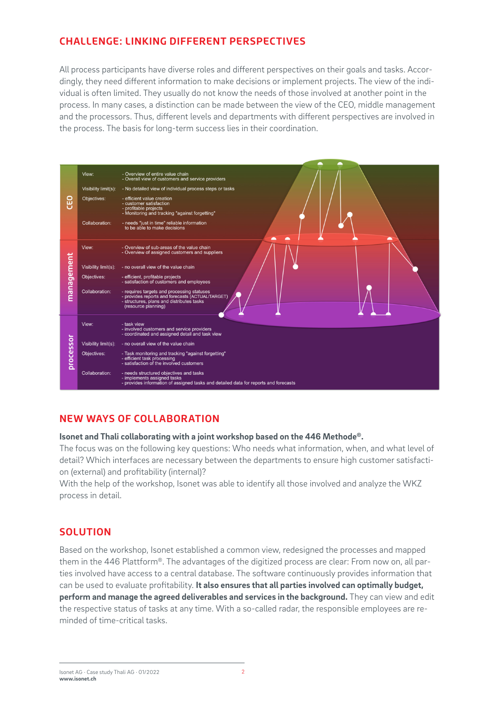#### **CHALLENGE: LINKING DIFFERENT PERSPECTIVES**

All process participants have diverse roles and different perspectives on their goals and tasks. Accordingly, they need different information to make decisions or implement projects. The view of the individual is often limited. They usually do not know the needs of those involved at another point in the process. In many cases, a distinction can be made between the view of the CEO, middle management and the processors. Thus, different levels and departments with different perspectives are involved in the process. The basis for long-term success lies in their coordination.



#### **NEW WAYS OF COLLABORATION**

#### **Isonet and Thali collaborating with a joint workshop based on the 446 Methode®.**

The focus was on the following key questions: Who needs what information, when, and what level of detail? Which interfaces are necessary between the departments to ensure high customer satisfaction (external) and profitability (internal)?

With the help of the workshop, Isonet was able to identify all those involved and analyze the WKZ process in detail.

#### **SOLUTION**

Based on the workshop, Isonet established a common view, redesigned the processes and mapped them in the 446 Plattform®. The advantages of the digitized process are clear: From now on, all parties involved have access to a central database. The software continuously provides information that can be used to evaluate profitability. **It also ensures that all parties involved can optimally budget, perform and manage the agreed deliverables and services in the background.** They can view and edit the respective status of tasks at any time. With a so-called radar, the responsible employees are reminded of time-critical tasks.